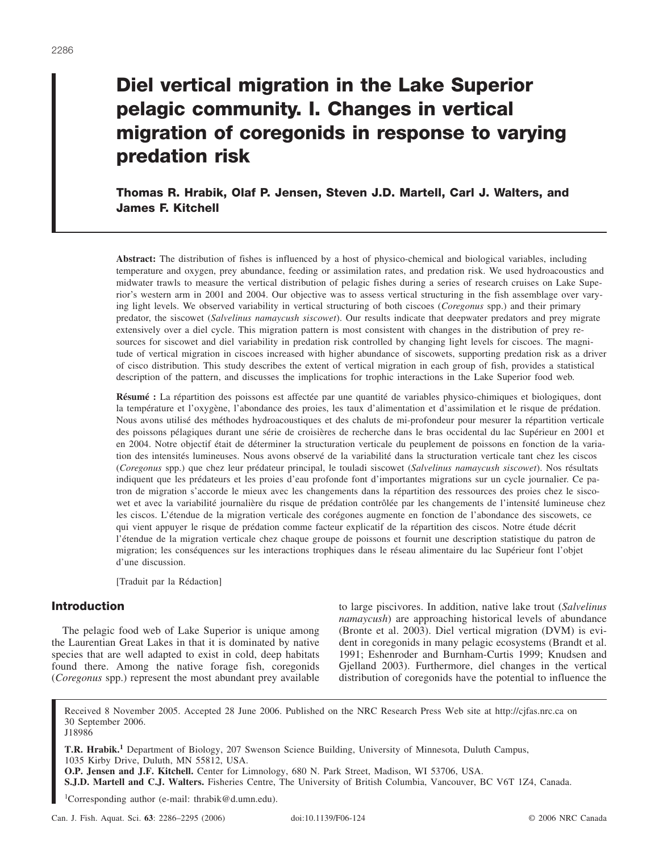# **Diel vertical migration in the Lake Superior pelagic community. I. Changes in vertical migration of coregonids in response to varying predation risk**

**Thomas R. Hrabik, Olaf P. Jensen, Steven J.D. Martell, Carl J. Walters, and James F. Kitchell**

**Abstract:** The distribution of fishes is influenced by a host of physico-chemical and biological variables, including temperature and oxygen, prey abundance, feeding or assimilation rates, and predation risk. We used hydroacoustics and midwater trawls to measure the vertical distribution of pelagic fishes during a series of research cruises on Lake Superior's western arm in 2001 and 2004. Our objective was to assess vertical structuring in the fish assemblage over varying light levels. We observed variability in vertical structuring of both ciscoes (*Coregonus* spp.) and their primary predator, the siscowet (*Salvelinus namaycush siscowet*). Our results indicate that deepwater predators and prey migrate extensively over a diel cycle. This migration pattern is most consistent with changes in the distribution of prey resources for siscowet and diel variability in predation risk controlled by changing light levels for ciscoes. The magnitude of vertical migration in ciscoes increased with higher abundance of siscowets, supporting predation risk as a driver of cisco distribution. This study describes the extent of vertical migration in each group of fish, provides a statistical description of the pattern, and discusses the implications for trophic interactions in the Lake Superior food web.

**Résumé :** La répartition des poissons est affectée par une quantité de variables physico-chimiques et biologiques, dont la température et l'oxygène, l'abondance des proies, les taux d'alimentation et d'assimilation et le risque de prédation. Nous avons utilisé des méthodes hydroacoustiques et des chaluts de mi-profondeur pour mesurer la répartition verticale des poissons pélagiques durant une série de croisières de recherche dans le bras occidental du lac Supérieur en 2001 et en 2004. Notre objectif était de déterminer la structuration verticale du peuplement de poissons en fonction de la variation des intensités lumineuses. Nous avons observé de la variabilité dans la structuration verticale tant chez les ciscos (*Coregonus* spp.) que chez leur prédateur principal, le touladi siscowet (*Salvelinus namaycush siscowet*). Nos résultats indiquent que les prédateurs et les proies d'eau profonde font d'importantes migrations sur un cycle journalier. Ce patron de migration s'accorde le mieux avec les changements dans la répartition des ressources des proies chez le siscowet et avec la variabilité journalière du risque de prédation contrôlée par les changements de l'intensité lumineuse chez les ciscos. L'étendue de la migration verticale des corégones augmente en fonction de l'abondance des siscowets, ce qui vient appuyer le risque de prédation comme facteur explicatif de la répartition des ciscos. Notre étude décrit l'étendue de la migration verticale chez chaque groupe de poissons et fournit une description statistique du patron de migration; les conséquences sur les interactions trophiques dans le réseau alimentaire du lac Supérieur font l'objet d'une discussion.

[Traduit par la Rédaction]

# **Introduction**

The pelagic food web of Lake Superior is unique among the Laurentian Great Lakes in that it is dominated by native species that are well adapted to exist in cold, deep habitats found there. Among the native forage fish, coregonids (*Coregonus* spp.) represent the most abundant prey available

to large piscivores. In addition, native lake trout (*Salvelinus namaycush*) are approaching historical levels of abundance (Bronte et al. 2003). Diel vertical migration (DVM) is evident in coregonids in many pelagic ecosystems (Brandt et al. 1991; Eshenroder and Burnham-Curtis 1999; Knudsen and Gjelland 2003). Furthermore, diel changes in the vertical distribution of coregonids have the potential to influence the

Received 8 November 2005. Accepted 28 June 2006. Published on the NRC Research Press Web site at http://cjfas.nrc.ca on 30 September 2006.

J18986

**T.R. Hrabik.<sup>1</sup>** Department of Biology, 207 Swenson Science Building, University of Minnesota, Duluth Campus, 1035 Kirby Drive, Duluth, MN 55812, USA. **O.P. Jensen and J.F. Kitchell.** Center for Limnology, 680 N. Park Street, Madison, WI 53706, USA.

**S.J.D. Martell and C.J. Walters.** Fisheries Centre, The University of British Columbia, Vancouver, BC V6T 1Z4, Canada.

1 Corresponding author (e-mail: thrabik@d.umn.edu).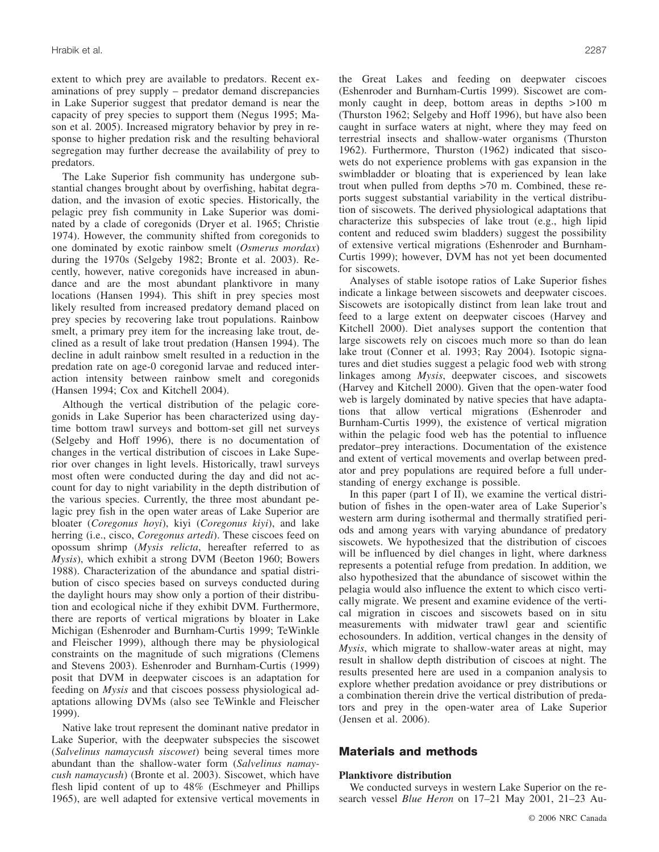extent to which prey are available to predators. Recent examinations of prey supply – predator demand discrepancies in Lake Superior suggest that predator demand is near the capacity of prey species to support them (Negus 1995; Mason et al. 2005). Increased migratory behavior by prey in response to higher predation risk and the resulting behavioral segregation may further decrease the availability of prey to predators.

The Lake Superior fish community has undergone substantial changes brought about by overfishing, habitat degradation, and the invasion of exotic species. Historically, the pelagic prey fish community in Lake Superior was dominated by a clade of coregonids (Dryer et al. 1965; Christie 1974). However, the community shifted from coregonids to one dominated by exotic rainbow smelt (*Osmerus mordax*) during the 1970s (Selgeby 1982; Bronte et al. 2003). Recently, however, native coregonids have increased in abundance and are the most abundant planktivore in many locations (Hansen 1994). This shift in prey species most likely resulted from increased predatory demand placed on prey species by recovering lake trout populations. Rainbow smelt, a primary prey item for the increasing lake trout, declined as a result of lake trout predation (Hansen 1994). The decline in adult rainbow smelt resulted in a reduction in the predation rate on age-0 coregonid larvae and reduced interaction intensity between rainbow smelt and coregonids (Hansen 1994; Cox and Kitchell 2004).

Although the vertical distribution of the pelagic coregonids in Lake Superior has been characterized using daytime bottom trawl surveys and bottom-set gill net surveys (Selgeby and Hoff 1996), there is no documentation of changes in the vertical distribution of ciscoes in Lake Superior over changes in light levels. Historically, trawl surveys most often were conducted during the day and did not account for day to night variability in the depth distribution of the various species. Currently, the three most abundant pelagic prey fish in the open water areas of Lake Superior are bloater (*Coregonus hoyi*), kiyi (*Coregonus kiyi*), and lake herring (i.e., cisco, *Coregonus artedi*). These ciscoes feed on opossum shrimp (*Mysis relicta*, hereafter referred to as *Mysis*), which exhibit a strong DVM (Beeton 1960; Bowers 1988). Characterization of the abundance and spatial distribution of cisco species based on surveys conducted during the daylight hours may show only a portion of their distribution and ecological niche if they exhibit DVM. Furthermore, there are reports of vertical migrations by bloater in Lake Michigan (Eshenroder and Burnham-Curtis 1999; TeWinkle and Fleischer 1999), although there may be physiological constraints on the magnitude of such migrations (Clemens and Stevens 2003). Eshenroder and Burnham-Curtis (1999) posit that DVM in deepwater ciscoes is an adaptation for feeding on *Mysis* and that ciscoes possess physiological adaptations allowing DVMs (also see TeWinkle and Fleischer 1999).

Native lake trout represent the dominant native predator in Lake Superior, with the deepwater subspecies the siscowet (*Salvelinus namaycush siscowet*) being several times more abundant than the shallow-water form (*Salvelinus namaycush namaycush*) (Bronte et al. 2003). Siscowet, which have flesh lipid content of up to 48% (Eschmeyer and Phillips 1965), are well adapted for extensive vertical movements in the Great Lakes and feeding on deepwater ciscoes (Eshenroder and Burnham-Curtis 1999). Siscowet are commonly caught in deep, bottom areas in depths >100 m (Thurston 1962; Selgeby and Hoff 1996), but have also been caught in surface waters at night, where they may feed on terrestrial insects and shallow-water organisms (Thurston 1962). Furthermore, Thurston (1962) indicated that siscowets do not experience problems with gas expansion in the swimbladder or bloating that is experienced by lean lake trout when pulled from depths >70 m. Combined, these reports suggest substantial variability in the vertical distribution of siscowets. The derived physiological adaptations that characterize this subspecies of lake trout (e.g., high lipid content and reduced swim bladders) suggest the possibility of extensive vertical migrations (Eshenroder and Burnham-Curtis 1999); however, DVM has not yet been documented for siscowets.

Analyses of stable isotope ratios of Lake Superior fishes indicate a linkage between siscowets and deepwater ciscoes. Siscowets are isotopically distinct from lean lake trout and feed to a large extent on deepwater ciscoes (Harvey and Kitchell 2000). Diet analyses support the contention that large siscowets rely on ciscoes much more so than do lean lake trout (Conner et al. 1993; Ray 2004). Isotopic signatures and diet studies suggest a pelagic food web with strong linkages among *Mysis*, deepwater ciscoes, and siscowets (Harvey and Kitchell 2000). Given that the open-water food web is largely dominated by native species that have adaptations that allow vertical migrations (Eshenroder and Burnham-Curtis 1999), the existence of vertical migration within the pelagic food web has the potential to influence predator–prey interactions. Documentation of the existence and extent of vertical movements and overlap between predator and prey populations are required before a full understanding of energy exchange is possible.

In this paper (part I of II), we examine the vertical distribution of fishes in the open-water area of Lake Superior's western arm during isothermal and thermally stratified periods and among years with varying abundance of predatory siscowets. We hypothesized that the distribution of ciscoes will be influenced by diel changes in light, where darkness represents a potential refuge from predation. In addition, we also hypothesized that the abundance of siscowet within the pelagia would also influence the extent to which cisco vertically migrate. We present and examine evidence of the vertical migration in ciscoes and siscowets based on in situ measurements with midwater trawl gear and scientific echosounders. In addition, vertical changes in the density of *Mysis*, which migrate to shallow-water areas at night, may result in shallow depth distribution of ciscoes at night. The results presented here are used in a companion analysis to explore whether predation avoidance or prey distributions or a combination therein drive the vertical distribution of predators and prey in the open-water area of Lake Superior (Jensen et al. 2006).

## **Materials and methods**

### **Planktivore distribution**

We conducted surveys in western Lake Superior on the research vessel *Blue Heron* on 17–21 May 2001, 21–23 Au-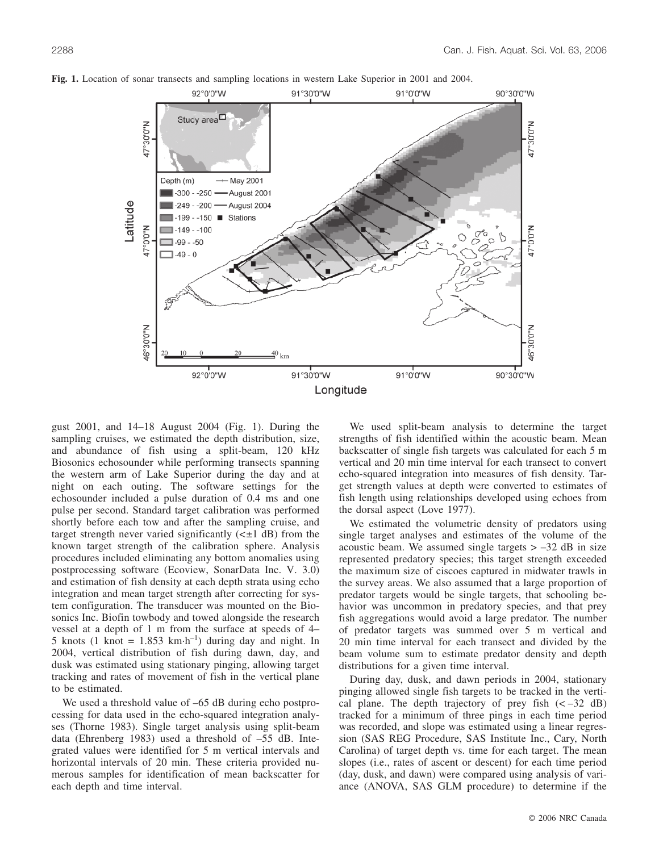

**Fig. 1.** Location of sonar transects and sampling locations in western Lake Superior in 2001 and 2004.

gust 2001, and 14–18 August 2004 (Fig. 1). During the sampling cruises, we estimated the depth distribution, size, and abundance of fish using a split-beam, 120 kHz Biosonics echosounder while performing transects spanning the western arm of Lake Superior during the day and at night on each outing. The software settings for the echosounder included a pulse duration of 0.4 ms and one pulse per second. Standard target calibration was performed shortly before each tow and after the sampling cruise, and target strength never varied significantly  $(\leq \pm 1 \text{ dB})$  from the known target strength of the calibration sphere. Analysis procedures included eliminating any bottom anomalies using postprocessing software (Ecoview, SonarData Inc. V. 3.0) and estimation of fish density at each depth strata using echo integration and mean target strength after correcting for system configuration. The transducer was mounted on the Biosonics Inc. Biofin towbody and towed alongside the research vessel at a depth of 1 m from the surface at speeds of 4– 5 knots (1 knot =  $1.853$  km·h<sup>-1</sup>) during day and night. In 2004, vertical distribution of fish during dawn, day, and dusk was estimated using stationary pinging, allowing target tracking and rates of movement of fish in the vertical plane to be estimated.

We used a threshold value of  $-65$  dB during echo postprocessing for data used in the echo-squared integration analyses (Thorne 1983). Single target analysis using split-beam data (Ehrenberg 1983) used a threshold of –55 dB. Integrated values were identified for 5 m vertical intervals and horizontal intervals of 20 min. These criteria provided numerous samples for identification of mean backscatter for each depth and time interval.

We used split-beam analysis to determine the target strengths of fish identified within the acoustic beam. Mean backscatter of single fish targets was calculated for each 5 m vertical and 20 min time interval for each transect to convert echo-squared integration into measures of fish density. Target strength values at depth were converted to estimates of fish length using relationships developed using echoes from the dorsal aspect (Love 1977).

We estimated the volumetric density of predators using single target analyses and estimates of the volume of the acoustic beam. We assumed single targets  $> -32$  dB in size represented predatory species; this target strength exceeded the maximum size of ciscoes captured in midwater trawls in the survey areas. We also assumed that a large proportion of predator targets would be single targets, that schooling behavior was uncommon in predatory species, and that prey fish aggregations would avoid a large predator. The number of predator targets was summed over 5 m vertical and 20 min time interval for each transect and divided by the beam volume sum to estimate predator density and depth distributions for a given time interval.

During day, dusk, and dawn periods in 2004, stationary pinging allowed single fish targets to be tracked in the vertical plane. The depth trajectory of prey fish  $(< -32$  dB) tracked for a minimum of three pings in each time period was recorded, and slope was estimated using a linear regression (SAS REG Procedure, SAS Institute Inc., Cary, North Carolina) of target depth vs. time for each target. The mean slopes (i.e., rates of ascent or descent) for each time period (day, dusk, and dawn) were compared using analysis of variance (ANOVA, SAS GLM procedure) to determine if the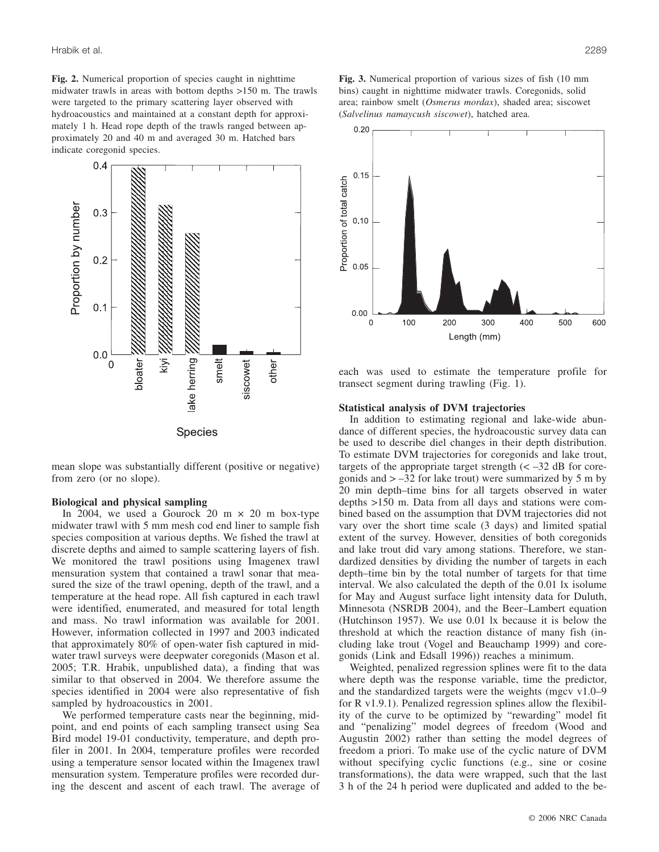**Fig. 2.** Numerical proportion of species caught in nighttime midwater trawls in areas with bottom depths >150 m. The trawls were targeted to the primary scattering layer observed with hydroacoustics and maintained at a constant depth for approximately 1 h. Head rope depth of the trawls ranged between approximately 20 and 40 m and averaged 30 m. Hatched bars indicate coregonid species.



mean slope was substantially different (positive or negative) from zero (or no slope).

#### **Biological and physical sampling**

In 2004, we used a Gourock 20 m  $\times$  20 m box-type midwater trawl with 5 mm mesh cod end liner to sample fish species composition at various depths. We fished the trawl at discrete depths and aimed to sample scattering layers of fish. We monitored the trawl positions using Imagenex trawl mensuration system that contained a trawl sonar that measured the size of the trawl opening, depth of the trawl, and a temperature at the head rope. All fish captured in each trawl were identified, enumerated, and measured for total length and mass. No trawl information was available for 2001. However, information collected in 1997 and 2003 indicated that approximately 80% of open-water fish captured in midwater trawl surveys were deepwater coregonids (Mason et al. 2005; T.R. Hrabik, unpublished data), a finding that was similar to that observed in 2004. We therefore assume the species identified in 2004 were also representative of fish sampled by hydroacoustics in 2001.

We performed temperature casts near the beginning, midpoint, and end points of each sampling transect using Sea Bird model 19-01 conductivity, temperature, and depth profiler in 2001. In 2004, temperature profiles were recorded using a temperature sensor located within the Imagenex trawl mensuration system. Temperature profiles were recorded during the descent and ascent of each trawl. The average of

**Fig. 3.** Numerical proportion of various sizes of fish (10 mm bins) caught in nighttime midwater trawls. Coregonids, solid area; rainbow smelt (*Osmerus mordax*), shaded area; siscowet (*Salvelinus namaycush siscowet*), hatched area.



each was used to estimate the temperature profile for transect segment during trawling (Fig. 1).

## **Statistical analysis of DVM trajectories**

In addition to estimating regional and lake-wide abundance of different species, the hydroacoustic survey data can be used to describe diel changes in their depth distribution. To estimate DVM trajectories for coregonids and lake trout, targets of the appropriate target strength  $\approx$  -32 dB for coregonids and  $> -32$  for lake trout) were summarized by 5 m by 20 min depth–time bins for all targets observed in water depths >150 m. Data from all days and stations were combined based on the assumption that DVM trajectories did not vary over the short time scale (3 days) and limited spatial extent of the survey. However, densities of both coregonids and lake trout did vary among stations. Therefore, we standardized densities by dividing the number of targets in each depth–time bin by the total number of targets for that time interval. We also calculated the depth of the 0.01 lx isolume for May and August surface light intensity data for Duluth, Minnesota (NSRDB 2004), and the Beer–Lambert equation (Hutchinson 1957). We use 0.01 lx because it is below the threshold at which the reaction distance of many fish (including lake trout (Vogel and Beauchamp 1999) and coregonids (Link and Edsall 1996)) reaches a minimum.

Weighted, penalized regression splines were fit to the data where depth was the response variable, time the predictor, and the standardized targets were the weights (mgcv v1.0–9 for R v1.9.1). Penalized regression splines allow the flexibility of the curve to be optimized by "rewarding" model fit and "penalizing" model degrees of freedom (Wood and Augustin 2002) rather than setting the model degrees of freedom a priori. To make use of the cyclic nature of DVM without specifying cyclic functions (e.g., sine or cosine transformations), the data were wrapped, such that the last 3 h of the 24 h period were duplicated and added to the be-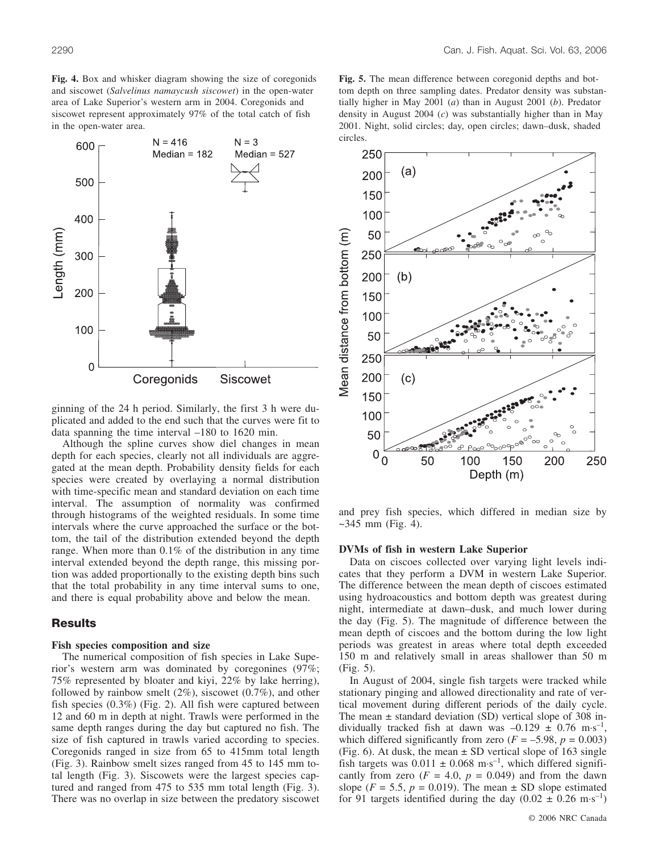**Fig. 4.** Box and whisker diagram showing the size of coregonids and siscowet (*Salvelinus namaycush siscowet*) in the open-water area of Lake Superior's western arm in 2004. Coregonids and siscowet represent approximately 97% of the total catch of fish in the open-water area.



ginning of the 24 h period. Similarly, the first 3 h were duplicated and added to the end such that the curves were fit to data spanning the time interval –180 to 1620 min.

Although the spline curves show diel changes in mean depth for each species, clearly not all individuals are aggregated at the mean depth. Probability density fields for each species were created by overlaying a normal distribution with time-specific mean and standard deviation on each time interval. The assumption of normality was confirmed through histograms of the weighted residuals. In some time intervals where the curve approached the surface or the bottom, the tail of the distribution extended beyond the depth range. When more than 0.1% of the distribution in any time interval extended beyond the depth range, this missing portion was added proportionally to the existing depth bins such that the total probability in any time interval sums to one, and there is equal probability above and below the mean.

# **Results**

## **Fish species composition and size**

The numerical composition of fish species in Lake Superior's western arm was dominated by coregonines (97%; 75% represented by bloater and kiyi, 22% by lake herring), followed by rainbow smelt  $(2\%)$ , siscowet  $(0.7\%)$ , and other fish species (0.3%) (Fig. 2). All fish were captured between 12 and 60 m in depth at night. Trawls were performed in the same depth ranges during the day but captured no fish. The size of fish captured in trawls varied according to species. Coregonids ranged in size from 65 to 415mm total length (Fig. 3). Rainbow smelt sizes ranged from 45 to 145 mm total length (Fig. 3). Siscowets were the largest species captured and ranged from 475 to 535 mm total length (Fig. 3). There was no overlap in size between the predatory siscowet **Fig. 5.** The mean difference between coregonid depths and bottom depth on three sampling dates. Predator density was substantially higher in May 2001 (*a*) than in August 2001 (*b*). Predator density in August 2004 (*c*) was substantially higher than in May 2001. Night, solid circles; day, open circles; dawn–dusk, shaded circles.



and prey fish species, which differed in median size by  $\sim$ 345 mm (Fig. 4).

## **DVMs of fish in western Lake Superior**

Data on ciscoes collected over varying light levels indicates that they perform a DVM in western Lake Superior. The difference between the mean depth of ciscoes estimated using hydroacoustics and bottom depth was greatest during night, intermediate at dawn–dusk, and much lower during the day (Fig. 5). The magnitude of difference between the mean depth of ciscoes and the bottom during the low light periods was greatest in areas where total depth exceeded 150 m and relatively small in areas shallower than 50 m (Fig. 5).

In August of 2004, single fish targets were tracked while stationary pinging and allowed directionality and rate of vertical movement during different periods of the daily cycle. The mean  $\pm$  standard deviation (SD) vertical slope of 308 individually tracked fish at dawn was  $-0.129 \pm 0.76$  m·s<sup>-1</sup>, which differed significantly from zero  $(F = -5.98, p = 0.003)$ (Fig. 6). At dusk, the mean  $\pm$  SD vertical slope of 163 single fish targets was  $0.011 \pm 0.068$  m·s<sup>-1</sup>, which differed significantly from zero  $(F = 4.0, p = 0.049)$  and from the dawn slope ( $F = 5.5$ ,  $p = 0.019$ ). The mean  $\pm$  SD slope estimated for 91 targets identified during the day  $(0.02 \pm 0.26 \text{ m} \cdot \text{s}^{-1})$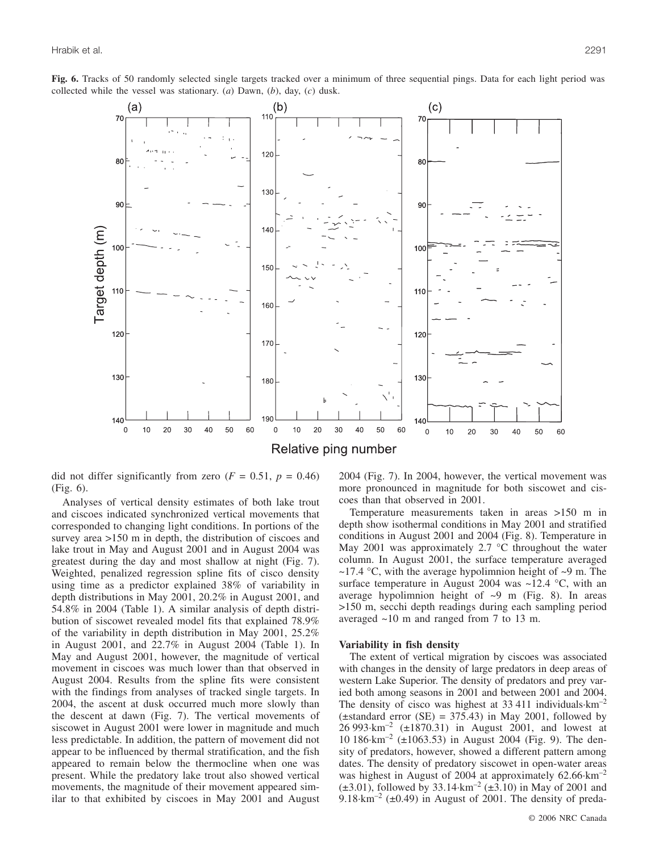**Fig. 6.** Tracks of 50 randomly selected single targets tracked over a minimum of three sequential pings. Data for each light period was collected while the vessel was stationary. (*a*) Dawn, (*b*), day, (*c*) dusk.



did not differ significantly from zero  $(F = 0.51, p = 0.46)$ (Fig. 6).

Analyses of vertical density estimates of both lake trout and ciscoes indicated synchronized vertical movements that corresponded to changing light conditions. In portions of the survey area >150 m in depth, the distribution of ciscoes and lake trout in May and August 2001 and in August 2004 was greatest during the day and most shallow at night (Fig. 7). Weighted, penalized regression spline fits of cisco density using time as a predictor explained 38% of variability in depth distributions in May 2001, 20.2% in August 2001, and 54.8% in 2004 (Table 1). A similar analysis of depth distribution of siscowet revealed model fits that explained 78.9% of the variability in depth distribution in May 2001, 25.2% in August 2001, and 22.7% in August 2004 (Table 1). In May and August 2001, however, the magnitude of vertical movement in ciscoes was much lower than that observed in August 2004. Results from the spline fits were consistent with the findings from analyses of tracked single targets. In 2004, the ascent at dusk occurred much more slowly than the descent at dawn (Fig. 7). The vertical movements of siscowet in August 2001 were lower in magnitude and much less predictable. In addition, the pattern of movement did not appear to be influenced by thermal stratification, and the fish appeared to remain below the thermocline when one was present. While the predatory lake trout also showed vertical movements, the magnitude of their movement appeared similar to that exhibited by ciscoes in May 2001 and August 2004 (Fig. 7). In 2004, however, the vertical movement was more pronounced in magnitude for both siscowet and ciscoes than that observed in 2001.

Temperature measurements taken in areas >150 m in depth show isothermal conditions in May 2001 and stratified conditions in August 2001 and 2004 (Fig. 8). Temperature in May 2001 was approximately 2.7  $\degree$ C throughout the water column. In August 2001, the surface temperature averaged  $\sim$ 17.4 °C, with the average hypolimnion height of  $\sim$ 9 m. The surface temperature in August 2004 was  $\sim$ 12.4 °C, with an average hypolimnion height of  $\sim$ 9 m (Fig. 8). In areas >150 m, secchi depth readings during each sampling period averaged ~10 m and ranged from 7 to 13 m.

#### **Variability in fish density**

The extent of vertical migration by ciscoes was associated with changes in the density of large predators in deep areas of western Lake Superior. The density of predators and prey varied both among seasons in 2001 and between 2001 and 2004. The density of cisco was highest at  $33\,411$  individuals $\text{km}^{-2}$  $(\pm$ standard error  $(SE) = 375.43$ ) in May 2001, followed by 26 993·km–2 (±1870.31) in August 2001, and lowest at 10  $186 \text{ km}^{-2}$  ( $\pm 1063.53$ ) in August 2004 (Fig. 9). The density of predators, however, showed a different pattern among dates. The density of predatory siscowet in open-water areas was highest in August of 2004 at approximately 62.66 $\cdot$ km<sup>-2</sup>  $(\pm 3.01)$ , followed by 33.14 $\cdot$ km<sup>-2</sup> ( $\pm 3.10$ ) in May of 2001 and 9.18 $\cdot$ km<sup>-2</sup> ( $\pm$ 0.49) in August of 2001. The density of preda-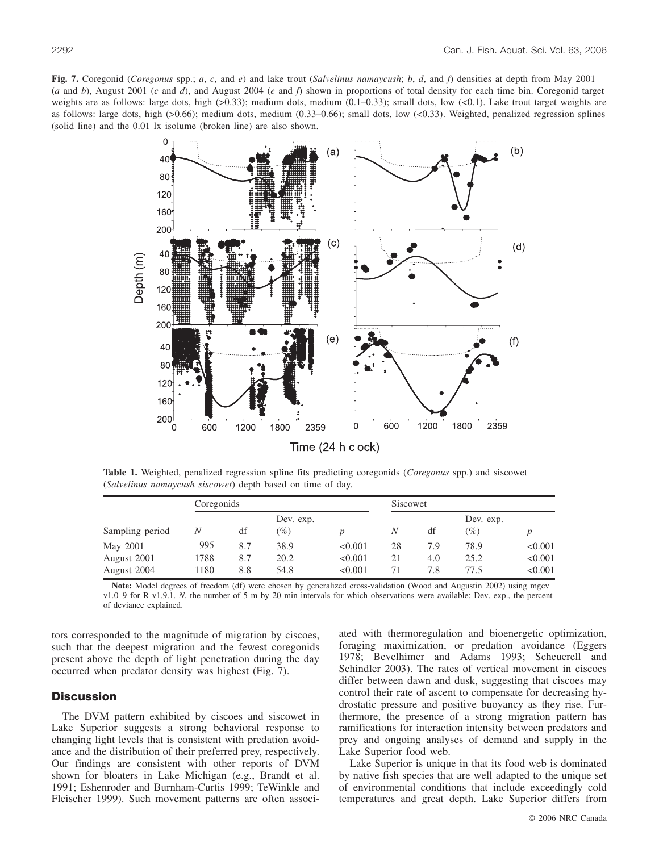**Fig. 7.** Coregonid (*Coregonus* spp.; *a*, *c*, and *e*) and lake trout (*Salvelinus namaycush*; *b*, *d*, and *f*) densities at depth from May 2001 (*a* and *b*), August 2001 (*c* and *d*), and August 2004 (*e* and *f*) shown in proportions of total density for each time bin. Coregonid target weights are as follows: large dots, high  $(>0.33)$ ; medium dots, medium  $(0.1-0.33)$ ; small dots, low  $(<0.1)$ . Lake trout target weights are as follows: large dots, high (>0.66); medium dots, medium (0.33–0.66); small dots, low (<0.33). Weighted, penalized regression splines (solid line) and the 0.01 lx isolume (broken line) are also shown.



**Table 1.** Weighted, penalized regression spline fits predicting coregonids (*Coregonus* spp.) and siscowet (*Salvelinus namaycush siscowet*) depth based on time of day.

|                 | Coregonids |     |           |         | Siscowet |     |           |         |
|-----------------|------------|-----|-----------|---------|----------|-----|-----------|---------|
|                 |            |     | Dev. exp. |         |          |     | Dev. exp. |         |
| Sampling period | N          | df  | $(\%)$    |         | Ν        | df  | (%)       |         |
| May 2001        | 995        | 8.7 | 38.9      | < 0.001 | 28       | 7.9 | 78.9      | < 0.001 |
| August 2001     | 1788       | 8.7 | 20.2      | < 0.001 | 21       | 4.0 | 25.2      | < 0.001 |
| August 2004     | 1180       | 8.8 | 54.8      | < 0.001 | 71       | 7.8 | 77.5      | < 0.001 |

**Note:** Model degrees of freedom (df) were chosen by generalized cross-validation (Wood and Augustin 2002) using mgcv v1.0–9 for R v1.9.1. *N*, the number of 5 m by 20 min intervals for which observations were available; Dev. exp., the percent of deviance explained.

tors corresponded to the magnitude of migration by ciscoes, such that the deepest migration and the fewest coregonids present above the depth of light penetration during the day occurred when predator density was highest (Fig. 7).

## **Discussion**

The DVM pattern exhibited by ciscoes and siscowet in Lake Superior suggests a strong behavioral response to changing light levels that is consistent with predation avoidance and the distribution of their preferred prey, respectively. Our findings are consistent with other reports of DVM shown for bloaters in Lake Michigan (e.g., Brandt et al. 1991; Eshenroder and Burnham-Curtis 1999; TeWinkle and Fleischer 1999). Such movement patterns are often associated with thermoregulation and bioenergetic optimization, foraging maximization, or predation avoidance (Eggers 1978; Bevelhimer and Adams 1993; Scheuerell and Schindler 2003). The rates of vertical movement in ciscoes differ between dawn and dusk, suggesting that ciscoes may control their rate of ascent to compensate for decreasing hydrostatic pressure and positive buoyancy as they rise. Furthermore, the presence of a strong migration pattern has ramifications for interaction intensity between predators and prey and ongoing analyses of demand and supply in the Lake Superior food web.

Lake Superior is unique in that its food web is dominated by native fish species that are well adapted to the unique set of environmental conditions that include exceedingly cold temperatures and great depth. Lake Superior differs from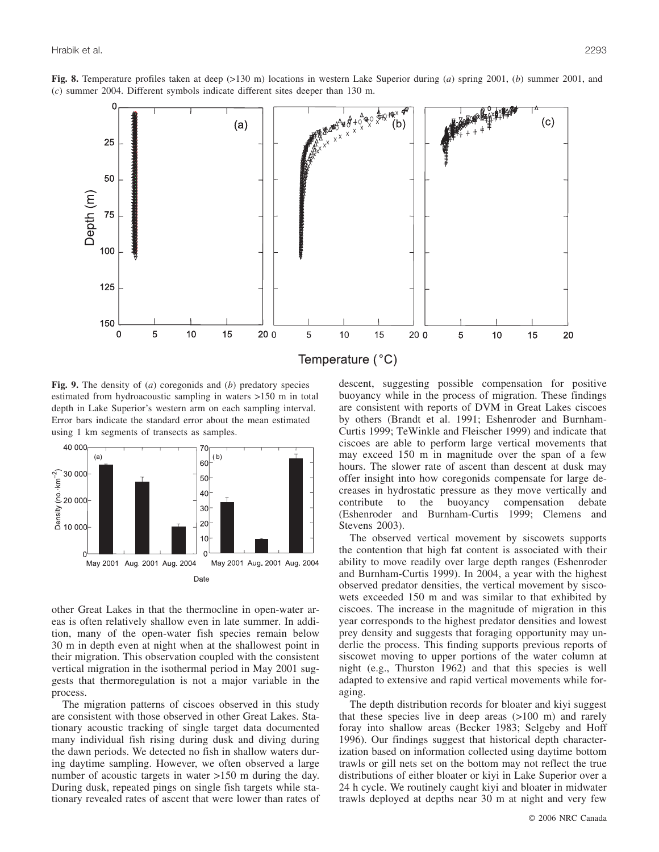

**Fig. 9.** The density of (*a*) coregonids and (*b*) predatory species estimated from hydroacoustic sampling in waters >150 m in total depth in Lake Superior's western arm on each sampling interval. Error bars indicate the standard error about the mean estimated using 1 km segments of transects as samples.



other Great Lakes in that the thermocline in open-water areas is often relatively shallow even in late summer. In addition, many of the open-water fish species remain below 30 m in depth even at night when at the shallowest point in their migration. This observation coupled with the consistent vertical migration in the isothermal period in May 2001 suggests that thermoregulation is not a major variable in the process.

The migration patterns of ciscoes observed in this study are consistent with those observed in other Great Lakes. Stationary acoustic tracking of single target data documented many individual fish rising during dusk and diving during the dawn periods. We detected no fish in shallow waters during daytime sampling. However, we often observed a large number of acoustic targets in water >150 m during the day. During dusk, repeated pings on single fish targets while stationary revealed rates of ascent that were lower than rates of descent, suggesting possible compensation for positive buoyancy while in the process of migration. These findings are consistent with reports of DVM in Great Lakes ciscoes by others (Brandt et al. 1991; Eshenroder and Burnham-Curtis 1999; TeWinkle and Fleischer 1999) and indicate that ciscoes are able to perform large vertical movements that may exceed 150 m in magnitude over the span of a few hours. The slower rate of ascent than descent at dusk may offer insight into how coregonids compensate for large decreases in hydrostatic pressure as they move vertically and contribute to the buoyancy compensation debate (Eshenroder and Burnham-Curtis 1999; Clemens and Stevens 2003).

The observed vertical movement by siscowets supports the contention that high fat content is associated with their ability to move readily over large depth ranges (Eshenroder and Burnham-Curtis 1999). In 2004, a year with the highest observed predator densities, the vertical movement by siscowets exceeded 150 m and was similar to that exhibited by ciscoes. The increase in the magnitude of migration in this year corresponds to the highest predator densities and lowest prey density and suggests that foraging opportunity may underlie the process. This finding supports previous reports of siscowet moving to upper portions of the water column at night (e.g., Thurston 1962) and that this species is well adapted to extensive and rapid vertical movements while foraging.

The depth distribution records for bloater and kiyi suggest that these species live in deep areas  $(>100 \text{ m})$  and rarely foray into shallow areas (Becker 1983; Selgeby and Hoff 1996). Our findings suggest that historical depth characterization based on information collected using daytime bottom trawls or gill nets set on the bottom may not reflect the true distributions of either bloater or kiyi in Lake Superior over a 24 h cycle. We routinely caught kiyi and bloater in midwater trawls deployed at depths near 30 m at night and very few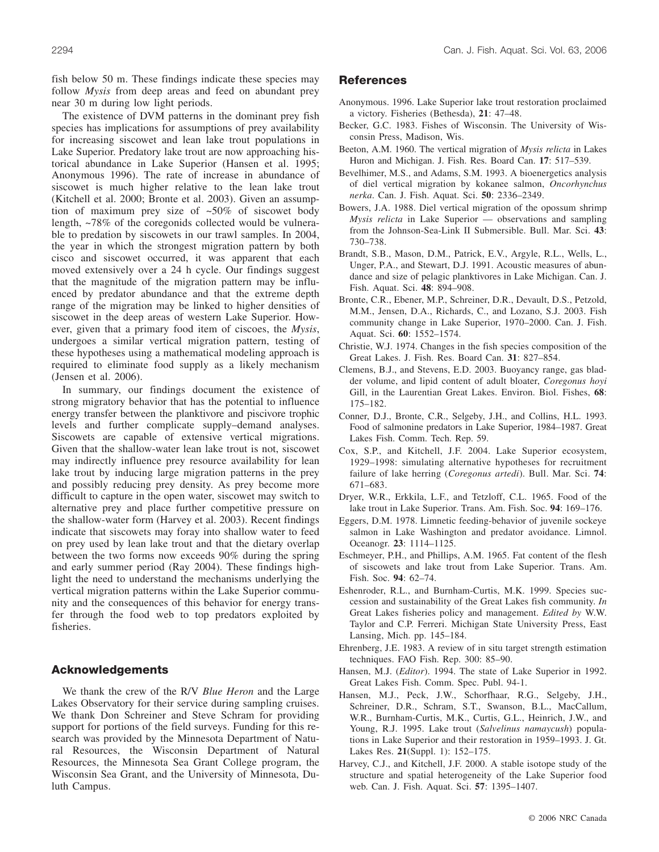fish below 50 m. These findings indicate these species may follow *Mysis* from deep areas and feed on abundant prey near 30 m during low light periods.

The existence of DVM patterns in the dominant prey fish species has implications for assumptions of prey availability for increasing siscowet and lean lake trout populations in Lake Superior. Predatory lake trout are now approaching historical abundance in Lake Superior (Hansen et al. 1995; Anonymous 1996). The rate of increase in abundance of siscowet is much higher relative to the lean lake trout (Kitchell et al. 2000; Bronte et al. 2003). Given an assumption of maximum prey size of ~50% of siscowet body length, ~78% of the coregonids collected would be vulnerable to predation by siscowets in our trawl samples. In 2004, the year in which the strongest migration pattern by both cisco and siscowet occurred, it was apparent that each moved extensively over a 24 h cycle. Our findings suggest that the magnitude of the migration pattern may be influenced by predator abundance and that the extreme depth range of the migration may be linked to higher densities of siscowet in the deep areas of western Lake Superior. However, given that a primary food item of ciscoes, the *Mysis*, undergoes a similar vertical migration pattern, testing of these hypotheses using a mathematical modeling approach is required to eliminate food supply as a likely mechanism (Jensen et al. 2006).

In summary, our findings document the existence of strong migratory behavior that has the potential to influence energy transfer between the planktivore and piscivore trophic levels and further complicate supply–demand analyses. Siscowets are capable of extensive vertical migrations. Given that the shallow-water lean lake trout is not, siscowet may indirectly influence prey resource availability for lean lake trout by inducing large migration patterns in the prey and possibly reducing prey density. As prey become more difficult to capture in the open water, siscowet may switch to alternative prey and place further competitive pressure on the shallow-water form (Harvey et al. 2003). Recent findings indicate that siscowets may foray into shallow water to feed on prey used by lean lake trout and that the dietary overlap between the two forms now exceeds 90% during the spring and early summer period (Ray 2004). These findings highlight the need to understand the mechanisms underlying the vertical migration patterns within the Lake Superior community and the consequences of this behavior for energy transfer through the food web to top predators exploited by fisheries.

#### **Acknowledgements**

We thank the crew of the R/V *Blue Heron* and the Large Lakes Observatory for their service during sampling cruises. We thank Don Schreiner and Steve Schram for providing support for portions of the field surveys. Funding for this research was provided by the Minnesota Department of Natural Resources, the Wisconsin Department of Natural Resources, the Minnesota Sea Grant College program, the Wisconsin Sea Grant, and the University of Minnesota, Duluth Campus.

#### **References**

- Anonymous. 1996. Lake Superior lake trout restoration proclaimed a victory. Fisheries (Bethesda), **21**: 47–48.
- Becker, G.C. 1983. Fishes of Wisconsin. The University of Wisconsin Press, Madison, Wis.
- Beeton, A.M. 1960. The vertical migration of *Mysis relicta* in Lakes Huron and Michigan. J. Fish. Res. Board Can. **17**: 517–539.
- Bevelhimer, M.S., and Adams, S.M. 1993. A bioenergetics analysis of diel vertical migration by kokanee salmon, *Oncorhynchus nerka*. Can. J. Fish. Aquat. Sci. **50**: 2336–2349.
- Bowers, J.A. 1988. Diel vertical migration of the opossum shrimp *Mysis relicta* in Lake Superior — observations and sampling from the Johnson-Sea-Link II Submersible. Bull. Mar. Sci. **43**: 730–738.
- Brandt, S.B., Mason, D.M., Patrick, E.V., Argyle, R.L., Wells, L., Unger, P.A., and Stewart, D.J. 1991. Acoustic measures of abundance and size of pelagic planktivores in Lake Michigan. Can. J. Fish. Aquat. Sci. **48**: 894–908.
- Bronte, C.R., Ebener, M.P., Schreiner, D.R., Devault, D.S., Petzold, M.M., Jensen, D.A., Richards, C., and Lozano, S.J. 2003. Fish community change in Lake Superior, 1970–2000. Can. J. Fish. Aquat. Sci. **60**: 1552–1574.
- Christie, W.J. 1974. Changes in the fish species composition of the Great Lakes. J. Fish. Res. Board Can. **31**: 827–854.
- Clemens, B.J., and Stevens, E.D. 2003. Buoyancy range, gas bladder volume, and lipid content of adult bloater, *Coregonus hoyi* Gill, in the Laurentian Great Lakes. Environ. Biol. Fishes, **68**: 175–182.
- Conner, D.J., Bronte, C.R., Selgeby, J.H., and Collins, H.L. 1993. Food of salmonine predators in Lake Superior, 1984–1987. Great Lakes Fish. Comm. Tech. Rep. 59.
- Cox, S.P., and Kitchell, J.F. 2004. Lake Superior ecosystem, 1929–1998: simulating alternative hypotheses for recruitment failure of lake herring (*Coregonus artedi*). Bull. Mar. Sci. **74**: 671–683.
- Dryer, W.R., Erkkila, L.F., and Tetzloff, C.L. 1965. Food of the lake trout in Lake Superior. Trans. Am. Fish. Soc. **94**: 169–176.
- Eggers, D.M. 1978. Limnetic feeding-behavior of juvenile sockeye salmon in Lake Washington and predator avoidance. Limnol. Oceanogr. **23**: 1114–1125.
- Eschmeyer, P.H., and Phillips, A.M. 1965. Fat content of the flesh of siscowets and lake trout from Lake Superior. Trans. Am. Fish. Soc. **94**: 62–74.
- Eshenroder, R.L., and Burnham-Curtis, M.K. 1999. Species succession and sustainability of the Great Lakes fish community. *In* Great Lakes fisheries policy and management. *Edited by* W.W. Taylor and C.P. Ferreri. Michigan State University Press, East Lansing, Mich. pp. 145–184.
- Ehrenberg, J.E. 1983. A review of in situ target strength estimation techniques. FAO Fish. Rep. 300: 85–90.
- Hansen, M.J. (*Editor*). 1994. The state of Lake Superior in 1992. Great Lakes Fish. Comm. Spec. Publ. 94-1.
- Hansen, M.J., Peck, J.W., Schorfhaar, R.G., Selgeby, J.H., Schreiner, D.R., Schram, S.T., Swanson, B.L., MacCallum, W.R., Burnham-Curtis, M.K., Curtis, G.L., Heinrich, J.W., and Young, R.J. 1995. Lake trout (*Salvelinus namaycush*) populations in Lake Superior and their restoration in 1959–1993. J. Gt. Lakes Res. **21**(Suppl. 1): 152–175.
- Harvey, C.J., and Kitchell, J.F. 2000. A stable isotope study of the structure and spatial heterogeneity of the Lake Superior food web. Can. J. Fish. Aquat. Sci. **57**: 1395–1407.